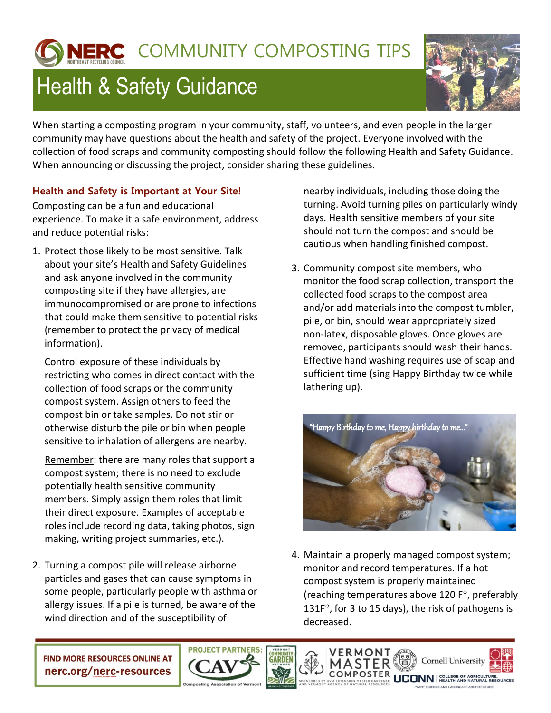## IERC COMMUNITY COMPOSTING TIPS

## **Health & Safety Guidance**



When starting a composting program in your community, staff, volunteers, and even people in the larger community may have questions about the health and safety of the project. Everyone involved with the collection of food scraps and community composting should follow the following Health and Safety Guidance. When announcing or discussing the project, consider sharing these guidelines.

## **Health and Safety is Important at Your Site!**

Composting can be a fun and educational experience. To make it a safe environment, address and reduce potential risks:

1. Protect those likely to be most sensitive. Talk about your site's Health and Safety Guidelines and ask anyone involved in the community composting site if they have allergies, are immunocompromised or are prone to infections that could make them sensitive to potential risks (remember to protect the privacy of medical information).

Control exposure of these individuals by restricting who comes in direct contact with the collection of food scraps or the community compost system. Assign others to feed the compost bin or take samples. Do not stir or otherwise disturb the pile or bin when people sensitive to inhalation of allergens are nearby.

Remember: there are many roles that support a compost system; there is no need to exclude potentially health sensitive community members. Simply assign them roles that limit their direct exposure. Examples of acceptable roles include recording data, taking photos, sign making, writing project summaries, etc.).

2. Turning a compost pile will release airborne particles and gases that can cause symptoms in some people, particularly people with asthma or allergy issues. If a pile is turned, be aware of the wind direction and of the susceptibility of

nearby individuals, including those doing the turning. Avoid turning piles on particularly windy days. Health sensitive members of your site should not turn the compost and should be cautious when handling finished compost.

3. Community compost site members, who monitor the food scrap collection, transport the collected food scraps to the compost area and/or add materials into the compost tumbler, pile, or bin, should wear appropriately sized non-latex, disposable gloves. Once gloves are removed, participants should wash their hands. Effective hand washing requires use of soap and sufficient time (sing Happy Birthday twice while lathering up).



4. Maintain a properly managed compost system; monitor and record temperatures. If a hot compost system is properly maintained (reaching temperatures above 120  $F^{\circ}$ , preferably 131 $F^{\circ}$ , for 3 to 15 days), the risk of pathogens is decreased.

**FIND MORE RESOURCES ONLINE AT** nerc.org/nerc-resources



**Cornell University CONN** REALTH AND NATURAL RESOURCE

VERMONT